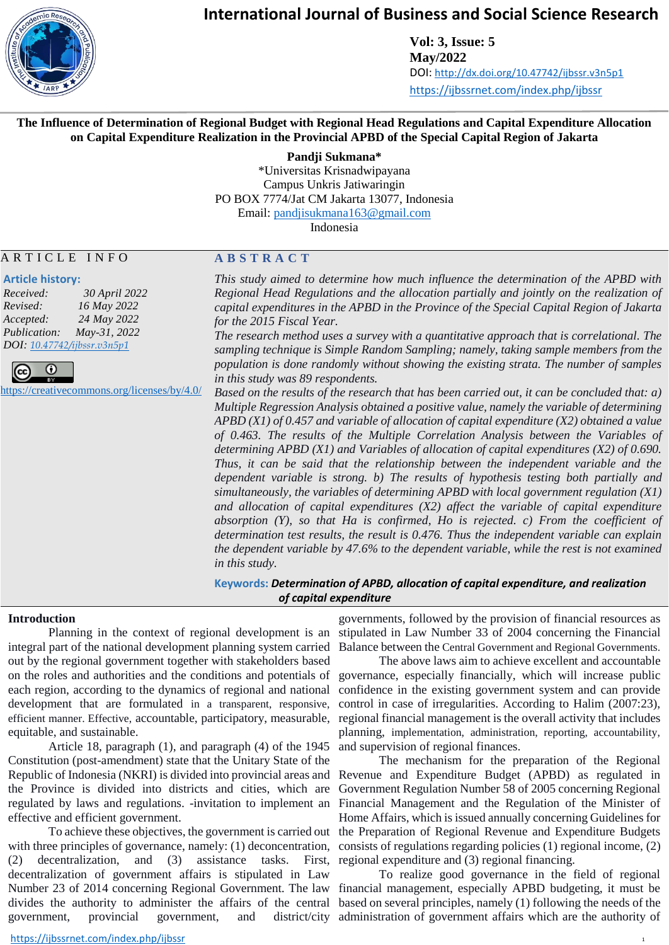

**Vol: 3, Issue: 5 May/2022** DOI: <http://dx.doi.org/10.47742/ijbssr.v3n5p1> <https://ijbssrnet.com/index.php/ijbssr>

#### **The Influence of Determination of Regional Budget with Regional Head Regulations and Capital Expenditure Allocation on Capital Expenditure Realization in the Provincial APBD of the Special Capital Region of Jakarta**

**Pandji Sukmana\***

\*Universitas Krisnadwipayana Campus Unkris Jatiwaringin PO BOX 7774/Jat CM Jakarta 13077, Indonesia Email: [pandjisukmana163@gmail.com](mailto:pandjisukmana163@gmail.com)

Indonesia

#### A R T I C L E I N F O

#### **Article history:**

*Received: 30 April 2022 Revised: 16 May 2022 Accepted: 24 May 2022 Publication: May-31, 2022 DOI: [10.47742/ijbssr.v3n5p1](https://doi.org/10.33642/ijbssr.v1i1.18)*



<https://creativecommons.org/licenses/by/4.0/>

#### **A B S T R A C T**

*This study aimed to determine how much influence the determination of the APBD with Regional Head Regulations and the allocation partially and jointly on the realization of capital expenditures in the APBD in the Province of the Special Capital Region of Jakarta for the 2015 Fiscal Year.*

*The research method uses a survey with a quantitative approach that is correlational. The sampling technique is Simple Random Sampling; namely, taking sample members from the population is done randomly without showing the existing strata. The number of samples in this study was 89 respondents.*

*Based on the results of the research that has been carried out, it can be concluded that: a) Multiple Regression Analysis obtained a positive value, namely the variable of determining APBD (X1) of 0.457 and variable of allocation of capital expenditure (X2) obtained a value of 0.463. The results of the Multiple Correlation Analysis between the Variables of determining APBD (X1) and Variables of allocation of capital expenditures (X2) of 0.690. Thus, it can be said that the relationship between the independent variable and the dependent variable is strong. b) The results of hypothesis testing both partially and simultaneously, the variables of determining APBD with local government regulation (X1) and allocation of capital expenditures (X2) affect the variable of capital expenditure absorption (Y), so that Ha is confirmed, Ho is rejected. c) From the coefficient of determination test results, the result is 0.476. Thus the independent variable can explain the dependent variable by 47.6% to the dependent variable, while the rest is not examined in this study.*

**Keywords:** *Determination of APBD, allocation of capital expenditure, and realization of capital expenditure*

#### **Introduction**

integral part of the national development planning system carried out by the regional government together with stakeholders based on the roles and authorities and the conditions and potentials of each region, according to the dynamics of regional and national development that are formulated in a transparent, responsive, efficient manner. Effective, accountable, participatory, measurable, equitable, and sustainable.

Article 18, paragraph (1), and paragraph (4) of the 1945 Constitution (post-amendment) state that the Unitary State of the Republic of Indonesia (NKRI) is divided into provincial areas and the Province is divided into districts and cities, which are regulated by laws and regulations. -invitation to implement an effective and efficient government.

To achieve these objectives, the government is carried out with three principles of governance, namely: (1) deconcentration,  $(2)$  decentralization, and  $(3)$  assistance tasks. decentralization of government affairs is stipulated in Law government, provincial government, and

Planning in the context of regional development is an stipulated in Law Number 33 of 2004 concerning the Financial governments, followed by the provision of financial resources as Balance between the Central Government and Regional Governments.

> The above laws aim to achieve excellent and accountable governance, especially financially, which will increase public confidence in the existing government system and can provide control in case of irregularities. According to Halim (2007:23), regional financial management is the overall activity that includes planning, implementation, administration, reporting, accountability, and supervision of regional finances.

The mechanism for the preparation of the Regional Revenue and Expenditure Budget (APBD) as regulated in Government Regulation Number 58 of 2005 concerning Regional Financial Management and the Regulation of the Minister of Home Affairs, which is issued annually concerning Guidelines for the Preparation of Regional Revenue and Expenditure Budgets consists of regulations regarding policies (1) regional income, (2) First, regional expenditure and (3) regional financing.

Number 23 of 2014 concerning Regional Government. The law financial management, especially APBD budgeting, it must be divides the authority to administer the affairs of the central based on several principles, namely (1) following the needs of the To realize good governance in the field of regional district/city administration of government affairs which are the authority of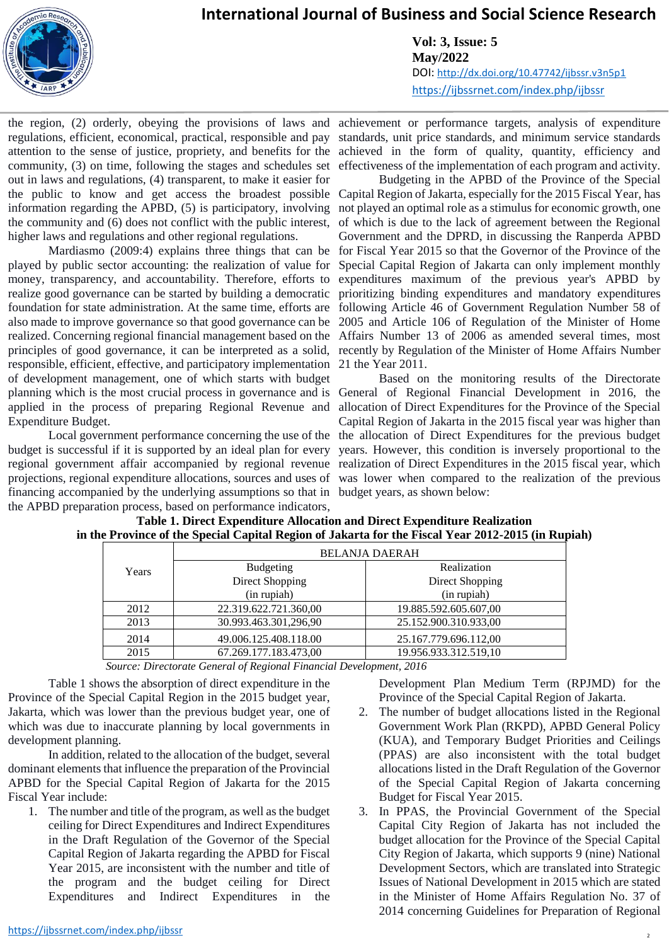

**Vol: 3, Issue: 5 May/2022** DOI: <http://dx.doi.org/10.47742/ijbssr.v3n5p1> <https://ijbssrnet.com/index.php/ijbssr>

the region, (2) orderly, obeying the provisions of laws and achievement or performance targets, analysis of expenditure regulations, efficient, economical, practical, responsible and pay attention to the sense of justice, propriety, and benefits for the achieved in the form of quality, quantity, efficiency and community, (3) on time, following the stages and schedules set out in laws and regulations, (4) transparent, to make it easier for information regarding the APBD, (5) is participatory, involving the community and (6) does not conflict with the public interest, higher laws and regulations and other regional regulations.

Mardiasmo (2009:4) explains three things that can be foundation for state administration. At the same time, efforts are principles of good governance, it can be interpreted as a solid, responsible, efficient, effective, and participatory implementation of development management, one of which starts with budget Expenditure Budget.

financing accompanied by the underlying assumptions so that in budget years, as shown below: the APBD preparation process, based on performance indicators,

standards, unit price standards, and minimum service standards effectiveness of the implementation of each program and activity.

the public to know and get access the broadest possible Capital Region of Jakarta, especially for the 2015 Fiscal Year, has played by public sector accounting: the realization of value for Special Capital Region of Jakarta can only implement monthly money, transparency, and accountability. Therefore, efforts to expenditures maximum of the previous year's APBD by realize good governance can be started by building a democratic prioritizing binding expenditures and mandatory expenditures also made to improve governance so that good governance can be 2005 and Article 106 of Regulation of the Minister of Home realized. Concerning regional financial management based on the Affairs Number 13 of 2006 as amended several times, most Budgeting in the APBD of the Province of the Special not played an optimal role as a stimulus for economic growth, one of which is due to the lack of agreement between the Regional Government and the DPRD, in discussing the Ranperda APBD for Fiscal Year 2015 so that the Governor of the Province of the following Article 46 of Government Regulation Number 58 of recently by Regulation of the Minister of Home Affairs Number 21 the Year 2011.

planning which is the most crucial process in governance and is General of Regional Financial Development in 2016, the applied in the process of preparing Regional Revenue and allocation of Direct Expenditures for the Province of the Special Local government performance concerning the use of the the allocation of Direct Expenditures for the previous budget budget is successful if it is supported by an ideal plan for every years. However, this condition is inversely proportional to the regional government affair accompanied by regional revenue realization of Direct Expenditures in the 2015 fiscal year, which projections, regional expenditure allocations, sources and uses of was lower when compared to the realization of the previous Based on the monitoring results of the Directorate Capital Region of Jakarta in the 2015 fiscal year was higher than

|       |                       | <b>BELANJA DAERAH</b> |
|-------|-----------------------|-----------------------|
| Years | <b>Budgeting</b>      | Realization           |
|       | Direct Shopping       | Direct Shopping       |
|       | (in rupiah)           | (in rupiah)           |
| 2012  | 22.319.622.721.360,00 | 19.885.592.605.607,00 |
| 2013  | 30.993.463.301,296,90 | 25.152.900.310.933,00 |
| 2014  | 49.006.125.408.118.00 | 25.167.779.696.112,00 |
| 2015  | 67.269.177.183.473,00 | 19.956.933.312.519,10 |

#### **Table 1. Direct Expenditure Allocation and Direct Expenditure Realization in the Province of the Special Capital Region of Jakarta for the Fiscal Year 2012-2015 (in Rupiah)**

 *Source: Directorate General of Regional Financial Development, 2016*

Table 1 shows the absorption of direct expenditure in the Province of the Special Capital Region in the 2015 budget year, Jakarta, which was lower than the previous budget year, one of which was due to inaccurate planning by local governments in development planning.

In addition, related to the allocation of the budget, several dominant elements that influence the preparation of the Provincial APBD for the Special Capital Region of Jakarta for the 2015 Fiscal Year include:

1. The number and title of the program, as well as the budget ceiling for Direct Expenditures and Indirect Expenditures in the Draft Regulation of the Governor of the Special Capital Region of Jakarta regarding the APBD for Fiscal Year 2015, are inconsistent with the number and title of the program and the budget ceiling for Direct Expenditures and Indirect Expenditures in the

Development Plan Medium Term (RPJMD) for the Province of the Special Capital Region of Jakarta.

- 2. The number of budget allocations listed in the Regional Government Work Plan (RKPD), APBD General Policy (KUA), and Temporary Budget Priorities and Ceilings (PPAS) are also inconsistent with the total budget allocations listed in the Draft Regulation of the Governor of the Special Capital Region of Jakarta concerning Budget for Fiscal Year 2015.
- 3. In PPAS, the Provincial Government of the Special Capital City Region of Jakarta has not included the budget allocation for the Province of the Special Capital City Region of Jakarta, which supports 9 (nine) National Development Sectors, which are translated into Strategic Issues of National Development in 2015 which are stated in the Minister of Home Affairs Regulation No. 37 of 2014 concerning Guidelines for Preparation of Regional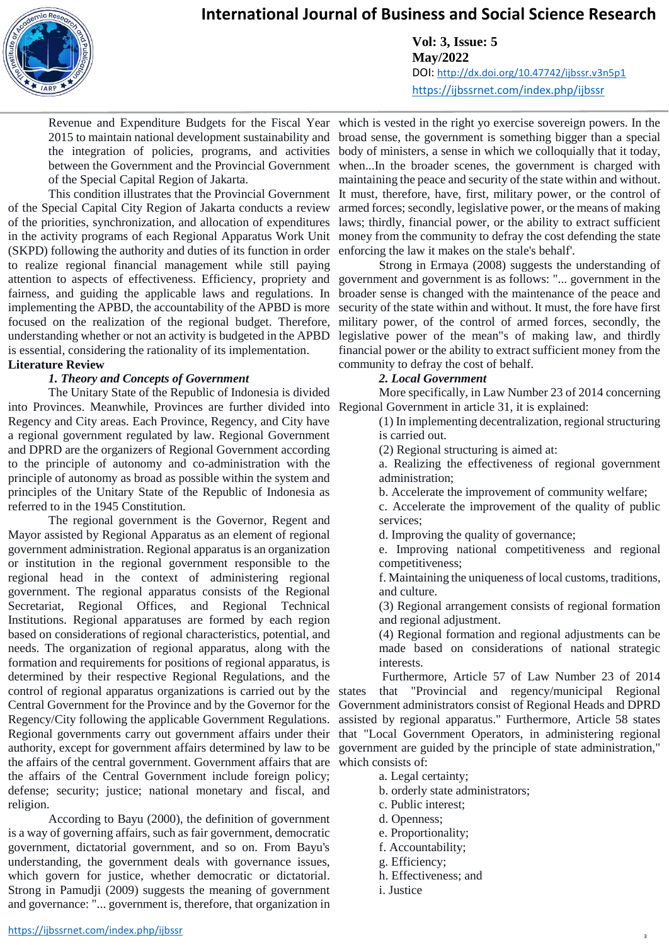**Vol: 3, Issue: 5 May/2022** DOI: <http://dx.doi.org/10.47742/ijbssr.v3n5p1> <https://ijbssrnet.com/index.php/ijbssr>

2015 to maintain national development sustainability and the integration of policies, programs, and activities between the Government and the Provincial Government of the Special Capital Region of Jakarta.

of the Special Capital City Region of Jakarta conducts a review of the priorities, synchronization, and allocation of expenditures in the activity programs of each Regional Apparatus Work Unit (SKPD) following the authority and duties of its function in order to realize regional financial management while still paying attention to aspects of effectiveness. Efficiency, propriety and fairness, and guiding the applicable laws and regulations. In implementing the APBD, the accountability of the APBD is more focused on the realization of the regional budget. Therefore, understanding whether or not an activity is budgeted in the APBD is essential, considering the rationality of its implementation.

#### **Literature Review**

#### *1. Theory and Concepts of Government*

The Unitary State of the Republic of Indonesia is divided into Provinces. Meanwhile, Provinces are further divided into Regency and City areas. Each Province, Regency, and City have a regional government regulated by law. Regional Government and DPRD are the organizers of Regional Government according to the principle of autonomy and co-administration with the principle of autonomy as broad as possible within the system and principles of the Unitary State of the Republic of Indonesia as referred to in the 1945 Constitution.

The regional government is the Governor, Regent and Mayor assisted by Regional Apparatus as an element of regional government administration. Regional apparatus is an organization or institution in the regional government responsible to the regional head in the context of administering regional government. The regional apparatus consists of the Regional Secretariat, Regional Offices, and Regional Technical Institutions. Regional apparatuses are formed by each region based on considerations of regional characteristics, potential, and needs. The organization of regional apparatus, along with the formation and requirements for positions of regional apparatus, is determined by their respective Regional Regulations, and the control of regional apparatus organizations is carried out by the Central Government for the Province and by the Governor for the Regency/City following the applicable Government Regulations. Regional governments carry out government affairs under their that "Local Government Operators, in administering regional authority, except for government affairs determined by law to be the affairs of the central government. Government affairs that are which consists of: the affairs of the Central Government include foreign policy; defense; security; justice; national monetary and fiscal, and religion.

According to Bayu (2000), the definition of government is a way of governing affairs, such as fair government, democratic government, dictatorial government, and so on. From Bayu's understanding, the government deals with governance issues, which govern for justice, whether democratic or dictatorial. Strong in Pamudji (2009) suggests the meaning of government and governance: "... government is, therefore, that organization in

Revenue and Expenditure Budgets for the Fiscal Year which is vested in the right yo exercise sovereign powers. In the This condition illustrates that the Provincial Government It must, therefore, have, first, military power, or the control of broad sense, the government is something bigger than a special body of ministers, a sense in which we colloquially that it today, when...In the broader scenes, the government is charged with maintaining the peace and security of the state within and without. armed forces; secondly, legislative power, or the means of making laws; thirdly, financial power, or the ability to extract sufficient money from the community to defray the cost defending the state enforcing the law it makes on the stale's behalf'.

> Strong in Ermaya (2008) suggests the understanding of government and government is as follows: "... government in the broader sense is changed with the maintenance of the peace and security of the state within and without. It must, the fore have first military power, of the control of armed forces, secondly, the legislative power of the mean"s of making law, and thirdly financial power or the ability to extract sufficient money from the community to defray the cost of behalf.

#### *2. Local Government*

More specifically, in Law Number 23 of 2014 concerning Regional Government in article 31, it is explained:

(1) In implementing decentralization, regional structuring is carried out.

- (2) Regional structuring is aimed at:
- a. Realizing the effectiveness of regional government administration;
- b. Accelerate the improvement of community welfare;

c. Accelerate the improvement of the quality of public services;

d. Improving the quality of governance;

e. Improving national competitiveness and regional competitiveness;

f. Maintaining the uniqueness of local customs, traditions, and culture.

(3) Regional arrangement consists of regional formation and regional adjustment.

(4) Regional formation and regional adjustments can be made based on considerations of national strategic interests.

Furthermore, Article 57 of Law Number 23 of 2014 states that "Provincial and regency/municipal Regional Government administrators consist of Regional Heads and DPRD assisted by regional apparatus." Furthermore, Article 58 states government are guided by the principle of state administration,"

- a. Legal certainty;
- b. orderly state administrators;
- c. Public interest;
- d. Openness;
- e. Proportionality;
- f. Accountability;
- g. Efficiency;
- h. Effectiveness; and
- i. Justice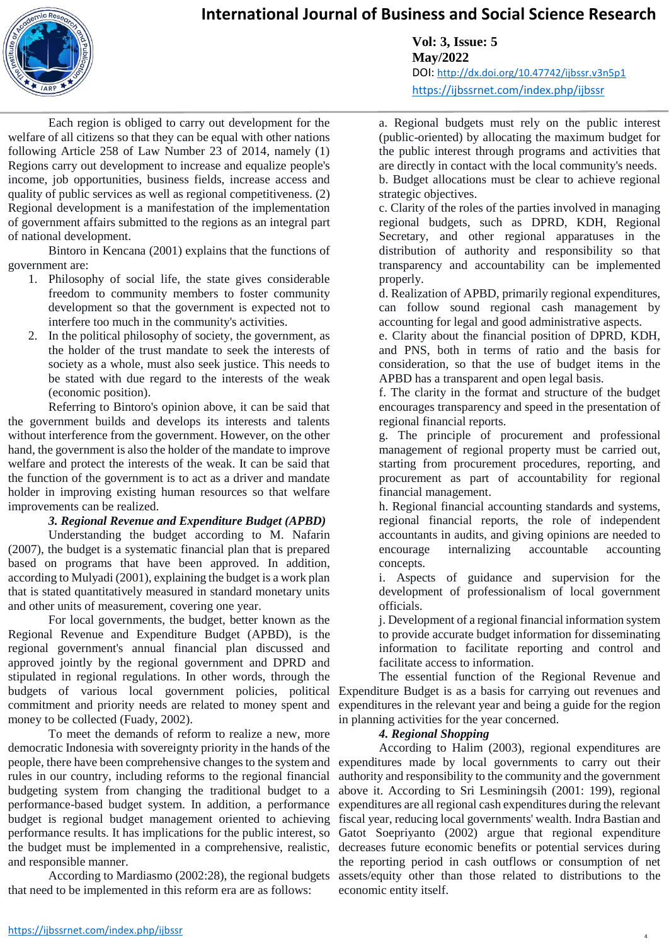

**Vol: 3, Issue: 5 May/2022** DOI: <http://dx.doi.org/10.47742/ijbssr.v3n5p1> <https://ijbssrnet.com/index.php/ijbssr>

Each region is obliged to carry out development for the welfare of all citizens so that they can be equal with other nations following Article 258 of Law Number 23 of 2014, namely (1) Regions carry out development to increase and equalize people's income, job opportunities, business fields, increase access and quality of public services as well as regional competitiveness. (2) Regional development is a manifestation of the implementation of government affairs submitted to the regions as an integral part of national development.

Bintoro in Kencana (2001) explains that the functions of government are:

- 1. Philosophy of social life, the state gives considerable freedom to community members to foster community development so that the government is expected not to interfere too much in the community's activities.
- 2. In the political philosophy of society, the government, as the holder of the trust mandate to seek the interests of society as a whole, must also seek justice. This needs to be stated with due regard to the interests of the weak (economic position).

Referring to Bintoro's opinion above, it can be said that the government builds and develops its interests and talents without interference from the government. However, on the other hand, the government is also the holder of the mandate to improve welfare and protect the interests of the weak. It can be said that the function of the government is to act as a driver and mandate holder in improving existing human resources so that welfare improvements can be realized.

#### *3. Regional Revenue and Expenditure Budget (APBD)*

Understanding the budget according to M. Nafarin (2007), the budget is a systematic financial plan that is prepared based on programs that have been approved. In addition, according to Mulyadi (2001), explaining the budget is a work plan that is stated quantitatively measured in standard monetary units and other units of measurement, covering one year.

For local governments, the budget, better known as the Regional Revenue and Expenditure Budget (APBD), is the regional government's annual financial plan discussed and approved jointly by the regional government and DPRD and stipulated in regional regulations. In other words, through the budgets of various local government policies, political commitment and priority needs are related to money spent and money to be collected (Fuady, 2002).

To meet the demands of reform to realize a new, more democratic Indonesia with sovereignty priority in the hands of the people, there have been comprehensive changes to the system and rules in our country, including reforms to the regional financial budgeting system from changing the traditional budget to a performance-based budget system. In addition, a performance budget is regional budget management oriented to achieving performance results. It has implications for the public interest, so the budget must be implemented in a comprehensive, realistic, and responsible manner.

According to Mardiasmo (2002:28), the regional budgets that need to be implemented in this reform era are as follows:

a. Regional budgets must rely on the public interest (public-oriented) by allocating the maximum budget for the public interest through programs and activities that are directly in contact with the local community's needs. b. Budget allocations must be clear to achieve regional strategic objectives.

c. Clarity of the roles of the parties involved in managing regional budgets, such as DPRD, KDH, Regional Secretary, and other regional apparatuses in the distribution of authority and responsibility so that transparency and accountability can be implemented properly.

d. Realization of APBD, primarily regional expenditures, can follow sound regional cash management by accounting for legal and good administrative aspects.

e. Clarity about the financial position of DPRD, KDH, and PNS, both in terms of ratio and the basis for consideration, so that the use of budget items in the APBD has a transparent and open legal basis.

f. The clarity in the format and structure of the budget encourages transparency and speed in the presentation of regional financial reports.

g. The principle of procurement and professional management of regional property must be carried out, starting from procurement procedures, reporting, and procurement as part of accountability for regional financial management.

h. Regional financial accounting standards and systems, regional financial reports, the role of independent accountants in audits, and giving opinions are needed to encourage internalizing accountable accounting concepts.

i. Aspects of guidance and supervision for the development of professionalism of local government officials.

j. Development of a regional financial information system to provide accurate budget information for disseminating information to facilitate reporting and control and facilitate access to information.

The essential function of the Regional Revenue and Expenditure Budget is as a basis for carrying out revenues and expenditures in the relevant year and being a guide for the region in planning activities for the year concerned.

#### *4. Regional Shopping*

According to Halim (2003), regional expenditures are expenditures made by local governments to carry out their authority and responsibility to the community and the government above it. According to Sri Lesminingsih (2001: 199), regional expenditures are all regional cash expenditures during the relevant fiscal year, reducing local governments' wealth. Indra Bastian and Gatot Soepriyanto (2002) argue that regional expenditure decreases future economic benefits or potential services during the reporting period in cash outflows or consumption of net assets/equity other than those related to distributions to the economic entity itself.

4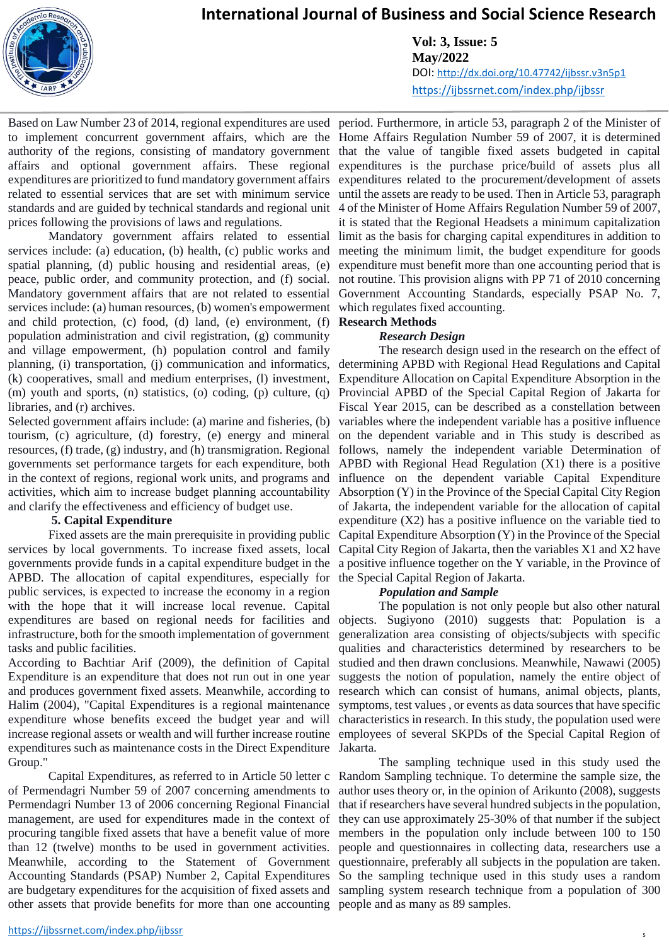

**Vol: 3, Issue: 5 May/2022** DOI: <http://dx.doi.org/10.47742/ijbssr.v3n5p1> <https://ijbssrnet.com/index.php/ijbssr>

Based on Law Number 23 of 2014, regional expenditures are used period. Furthermore, in article 53, paragraph 2 of the Minister of to implement concurrent government affairs, which are the Home Affairs Regulation Number 59 of 2007, it is determined authority of the regions, consisting of mandatory government that the value of tangible fixed assets budgeted in capital affairs and optional government affairs. These regional expenditures are prioritized to fund mandatory government affairs expenditures related to the procurement/development of assets related to essential services that are set with minimum service until the assets are ready to be used. Then in Article 53, paragraph standards and are guided by technical standards and regional unit 4 of the Minister of Home Affairs Regulation Number 59 of 2007, prices following the provisions of laws and regulations.

Mandatory government affairs related to essential services include: (a) education, (b) health, (c) public works and spatial planning, (d) public housing and residential areas, (e) peace, public order, and community protection, and (f) social. Mandatory government affairs that are not related to essential services include: (a) human resources, (b) women's empowerment and child protection, (c) food, (d) land, (e) environment, (f) population administration and civil registration, (g) community and village empowerment, (h) population control and family planning, (i) transportation, (j) communication and informatics, (k) cooperatives, small and medium enterprises, (l) investment, (m) youth and sports, (n) statistics, (o) coding, (p) culture, (q) libraries, and (r) archives.

Selected government affairs include: (a) marine and fisheries, (b) tourism, (c) agriculture, (d) forestry, (e) energy and mineral resources, (f) trade, (g) industry, and (h) transmigration. Regional governments set performance targets for each expenditure, both in the context of regions, regional work units, and programs and activities, which aim to increase budget planning accountability and clarify the effectiveness and efficiency of budget use.

#### **5. Capital Expenditure**

Fixed assets are the main prerequisite in providing public services by local governments. To increase fixed assets, local governments provide funds in a capital expenditure budget in the APBD. The allocation of capital expenditures, especially for public services, is expected to increase the economy in a region with the hope that it will increase local revenue. Capital expenditures are based on regional needs for facilities and infrastructure, both for the smooth implementation of government tasks and public facilities.

According to Bachtiar Arif (2009), the definition of Capital Expenditure is an expenditure that does not run out in one year and produces government fixed assets. Meanwhile, according to Halim (2004), "Capital Expenditures is a regional maintenance expenditure whose benefits exceed the budget year and will expenditures such as maintenance costs in the Direct Expenditure Jakarta. Group."

of Permendagri Number 59 of 2007 concerning amendments to Permendagri Number 13 of 2006 concerning Regional Financial management, are used for expenditures made in the context of procuring tangible fixed assets that have a benefit value of more than 12 (twelve) months to be used in government activities. other assets that provide benefits for more than one accounting people and as many as 89 samples.

expenditures is the purchase price/build of assets plus all it is stated that the Regional Headsets a minimum capitalization limit as the basis for charging capital expenditures in addition to meeting the minimum limit, the budget expenditure for goods expenditure must benefit more than one accounting period that is not routine. This provision aligns with PP 71 of 2010 concerning Government Accounting Standards, especially PSAP No. 7, which regulates fixed accounting.

#### **Research Methods**

#### *Research Design*

The research design used in the research on the effect of determining APBD with Regional Head Regulations and Capital Expenditure Allocation on Capital Expenditure Absorption in the Provincial APBD of the Special Capital Region of Jakarta for Fiscal Year 2015, can be described as a constellation between variables where the independent variable has a positive influence on the dependent variable and in This study is described as follows, namely the independent variable Determination of APBD with Regional Head Regulation (X1) there is a positive influence on the dependent variable Capital Expenditure Absorption (Y) in the Province of the Special Capital City Region of Jakarta, the independent variable for the allocation of capital expenditure (X2) has a positive influence on the variable tied to Capital Expenditure Absorption (Y) in the Province of the Special Capital City Region of Jakarta, then the variables X1 and X2 have a positive influence together on the Y variable, in the Province of the Special Capital Region of Jakarta.

#### *Population and Sample*

increase regional assets or wealth and will further increase routine employees of several SKPDs of the Special Capital Region of The population is not only people but also other natural objects. Sugiyono (2010) suggests that: Population is a generalization area consisting of objects/subjects with specific qualities and characteristics determined by researchers to be studied and then drawn conclusions. Meanwhile, Nawawi (2005) suggests the notion of population, namely the entire object of research which can consist of humans, animal objects, plants, symptoms, test values , or events as data sources that have specific characteristics in research. In this study, the population used were

Capital Expenditures, as referred to in Article 50 letter c Random Sampling technique. To determine the sample size, the Meanwhile, according to the Statement of Government questionnaire, preferably all subjects in the population are taken. Accounting Standards (PSAP) Number 2, Capital Expenditures So the sampling technique used in this study uses a random are budgetary expenditures for the acquisition of fixed assets and sampling system research technique from a population of 300 The sampling technique used in this study used the author uses theory or, in the opinion of Arikunto (2008), suggests that if researchers have several hundred subjects in the population, they can use approximately 25-30% of that number if the subject members in the population only include between 100 to 150 people and questionnaires in collecting data, researchers use a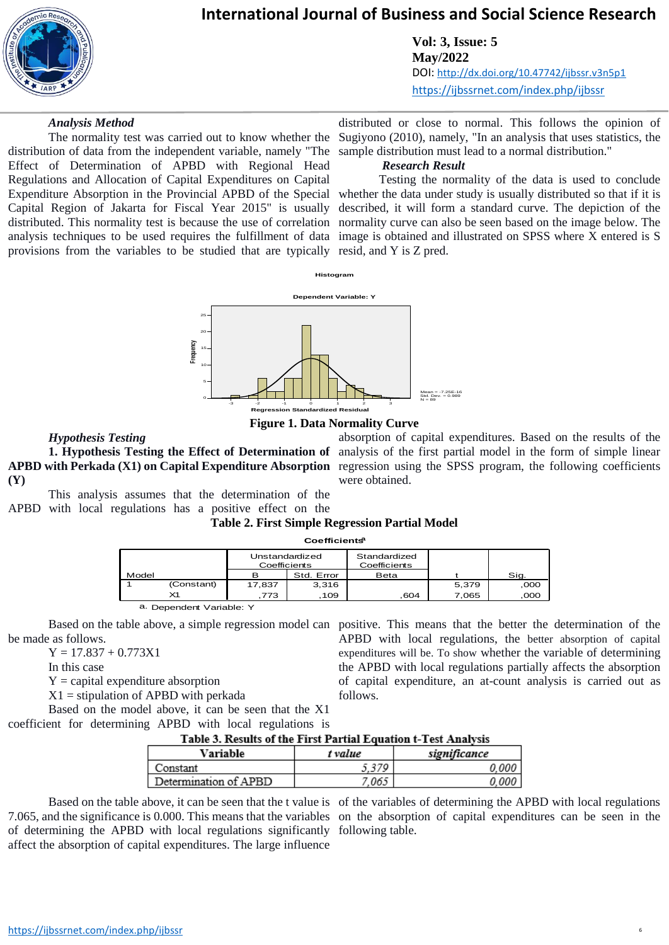

**Vol: 3, Issue: 5 May/2022** DOI: <http://dx.doi.org/10.47742/ijbssr.v3n5p1> <https://ijbssrnet.com/index.php/ijbssr>

#### *Analysis Method*

The normality test was carried out to know whether the distribution of data from the independent variable, namely "The Effect of Determination of APBD with Regional Head Regulations and Allocation of Capital Expenditures on Capital Expenditure Absorption in the Provincial APBD of the Special whether the data under study is usually distributed so that if it is Capital Region of Jakarta for Fiscal Year 2015" is usually distributed. This normality test is because the use of correlation normality curve can also be seen based on the image below. The analysis techniques to be used requires the fulfillment of data image is obtained and illustrated on SPSS where X entered is S provisions from the variables to be studied that are typically resid, and Y is Z pred.

distributed or close to normal. This follows the opinion of Sugiyono (2010), namely, "In an analysis that uses statistics, the sample distribution must lead to a normal distribution."

#### *Research Result*

Testing the normality of the data is used to conclude described, it will form a standard curve. The depiction of the



#### **Figure 1. Data Normality Curve**

#### *Hypothesis Testing*

**(Y)**

This analysis assumes that the determination of the APBD with local regulations has a positive effect on the

**1. Hypothesis Testing the Effect of Determination of**  analysis of the first partial model in the form of simple linear APBD with Perkada (X1) on Capital Expenditure Absorption regression using the SPSS program, the following coefficients absorption of capital expenditures. Based on the results of the were obtained.

#### **Table 2. First Simple Regression Partial Model Coefficientsa**

|            |                          | Unstandardized<br>Coefficients |            | Standardized<br>Coefficients |       |      |  |  |  |
|------------|--------------------------|--------------------------------|------------|------------------------------|-------|------|--|--|--|
| Model      |                          | в                              | Std. Error | Beta                         |       | Sig. |  |  |  |
|            | (Constant)               | 17,837                         | 3.316      |                              | 5,379 | ,000 |  |  |  |
| $\times$ 1 |                          | .773                           | .109       | .604                         | 7.065 | ,000 |  |  |  |
|            | a. Dependent Variable: Y |                                |            |                              |       |      |  |  |  |

Based on the table above, a simple regression model can positive. This means that the better the determination of the be made as follows. APBD with local regulations, the better absorption of capital

 $Y = 17.837 + 0.773X1$ 

In this case

 $Y =$  capital expenditure absorption

 $X1$  = stipulation of APBD with perkada

Based on the model above, it can be seen that the X1 coefficient for determining APBD with local regulations is

| Table 3. Results of the First Partial Equation t-Test Analysis |  |  |
|----------------------------------------------------------------|--|--|

follows.

| Variable              | t value | significance |
|-----------------------|---------|--------------|
| Constant              | 5.379   | 0.000        |
| Determination of APBD | 7.065   | 0.000        |

7.065, and the significance is 0.000. This means that the variables on the absorption of capital expenditures can be seen in the of determining the APBD with local regulations significantly following table. affect the absorption of capital expenditures. The large influence

Based on the table above, it can be seen that the t value is of the variables of determining the APBD with local regulations

6

expenditures will be. To show whether the variable of determining the APBD with local regulations partially affects the absorption of capital expenditure, an at-count analysis is carried out as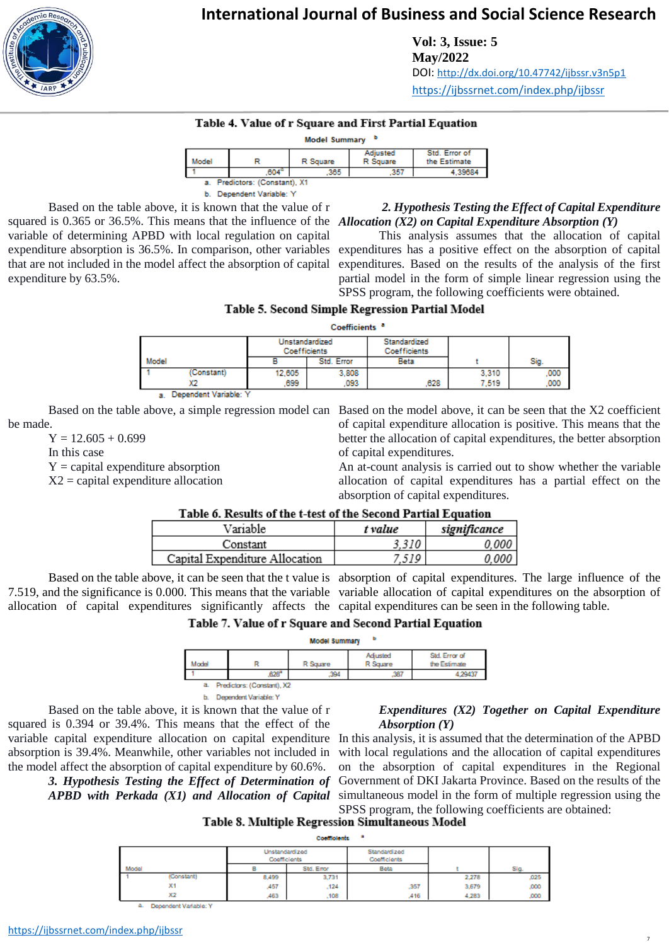

**Vol: 3, Issue: 5 May/2022** DOI: <http://dx.doi.org/10.47742/ijbssr.v3n5p1> <https://ijbssrnet.com/index.php/ijbssr>

#### Table 4. Value of r Square and First Partial Equation

| Model Summary |  |
|---------------|--|
|               |  |

| Model                             |      | R Square | Adiusted<br>R Souare | Std. Error of<br>the Estimate |  |  |  |  |
|-----------------------------------|------|----------|----------------------|-------------------------------|--|--|--|--|
|                                   | .604 |          | 357                  | 2020.                         |  |  |  |  |
| Predictors: (Constant), X1<br>. . |      |          |                      |                               |  |  |  |  |

b. Dependent Variable: Y

Based on the table above, it is known that the value of r squared is 0.365 or 36.5%. This means that the influence of the *Allocation (X2) on Capital Expenditure Absorption (Y)* variable of determining APBD with local regulation on capital expenditure absorption is 36.5%. In comparison, other variables that are not included in the model affect the absorption of capital expenditure by 63.5%.

# *2. Hypothesis Testing the Effect of Capital Expenditure*

This analysis assumes that the allocation of capital expenditures has a positive effect on the absorption of capital expenditures. Based on the results of the analysis of the first partial model in the form of simple linear regression using the SPSS program, the following coefficients were obtained.

#### Table 5. Second Simple Regression Partial Model

Coefficients<sup>a</sup>

|       |                      | Unstandardized<br>Coefficients |            | Standardized<br><b>Coefficients</b> |       |      |
|-------|----------------------|--------------------------------|------------|-------------------------------------|-------|------|
| Model |                      |                                | Std. Error | Beta                                |       | Sig. |
|       | (Constant)           | 12,605                         | 3.808      |                                     | 3.310 | 000  |
|       |                      | .699                           | 093        | 628                                 | 7.519 | ,000 |
|       | Denendent Variable∵i |                                |            |                                     |       |      |

be made.

 $Y = 12.605 + 0.699$ 

In this case

 $Y =$  capital expenditure absorption

 $X2$  = capital expenditure allocation

Based on the table above, a simple regression model can Based on the model above, it can be seen that the X2 coefficient of capital expenditure allocation is positive. This means that the better the allocation of capital expenditures, the better absorption of capital expenditures.

> An at-count analysis is carried out to show whether the variable allocation of capital expenditures has a partial effect on the absorption of capital expenditures.

### Table 6. Results of the t-test of the Second Partial Equation

| Variable                       | t value | significance |
|--------------------------------|---------|--------------|
| Constant                       |         |              |
| Capital Expenditure Allocation |         |              |

Based on the table above, it can be seen that the t value is absorption of capital expenditures. The large influence of the 7.519, and the significance is 0.000. This means that the variable variable allocation of capital expenditures on the absorption of allocation of capital expenditures significantly affects the capital expenditures can be seen in the following table.

#### Table 7. Value of r Square and Second Partial Equation

| ь<br><b>Model Summary</b>        |  |                       |          |                      |                               |  |  |
|----------------------------------|--|-----------------------|----------|----------------------|-------------------------------|--|--|
| Model                            |  |                       | R Square | Adjusted<br>R Square | Std. Error of<br>the Estimate |  |  |
|                                  |  | 628"                  | 394      | .387                 | 4.29437                       |  |  |
| Predictors: (Constant), X2<br>a. |  |                       |          |                      |                               |  |  |
|                                  |  | Dependent Variable: Y |          |                      |                               |  |  |

Based on the table above, it is known that the value of r squared is 0.394 or 39.4%. This means that the effect of the the model affect the absorption of capital expenditure by 60.6%.

#### *Expenditures (X2) Together on Capital Expenditure Absorption (Y)*

7

variable capital expenditure allocation on capital expenditure In this analysis, it is assumed that the determination of the APBD absorption is 39.4%. Meanwhile, other variables not included in with local regulations and the allocation of capital expenditures *3. Hypothesis Testing the Effect of Determination of*  Government of DKI Jakarta Province. Based on the results of the *APBD with Perkada (X1) and Allocation of Capital*  simultaneous model in the form of multiple regression using the on the absorption of capital expenditures in the Regional SPSS program, the following coefficients are obtained:<br>Table 8. Multiple Regression Simultaneous Model

|       |                       | Unstandardized<br>Coefficients |            | Standardized<br><b>Coefficients</b> |       |      |
|-------|-----------------------|--------------------------------|------------|-------------------------------------|-------|------|
| Model |                       |                                | Std. Error | Beta                                |       | Sig  |
|       | (Constant)            | 8,499                          | 3,731      |                                     | 2,278 | ,025 |
|       | X1                    | ,457                           | .124       | .357                                | 3,679 | ,000 |
|       | X2                    | ,463                           | .108       | 416                                 | 4,283 | ,000 |
|       | Dependent Variable: Y |                                |            |                                     |       |      |

<https://ijbssrnet.com/index.php/ijbssr>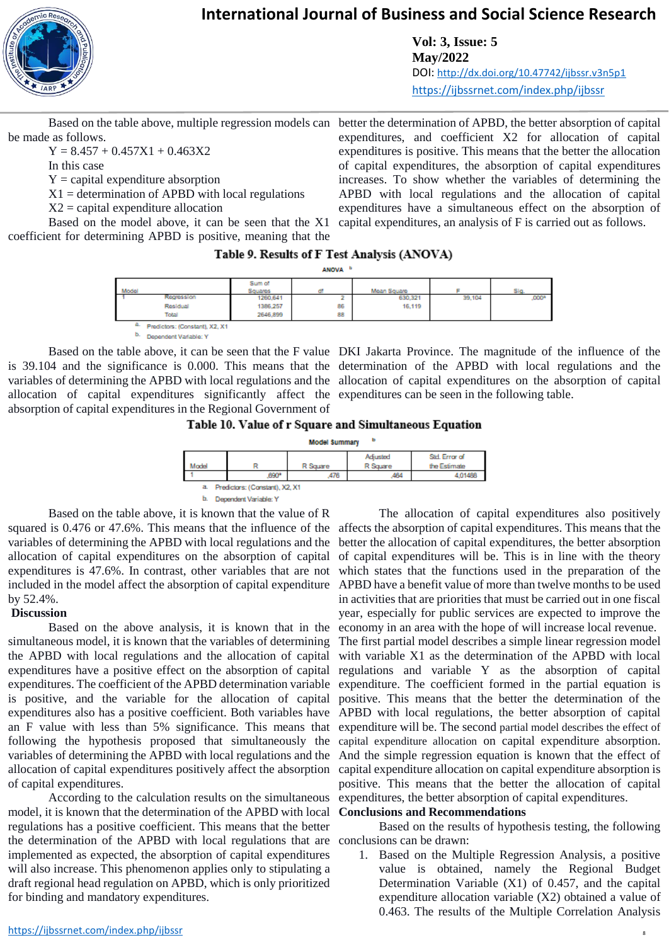

**Vol: 3, Issue: 5 May/2022** DOI: <http://dx.doi.org/10.47742/ijbssr.v3n5p1> <https://ijbssrnet.com/index.php/ijbssr>

be made as follows.

 $Y = 8.457 + 0.457X1 + 0.463X2$ 

In this case

 $Y =$  capital expenditure absorption

 $X1 =$  determination of APBD with local regulations

 $X2$  = capital expenditure allocation

Based on the model above, it can be seen that the X1 coefficient for determining APBD is positive, meaning that the

Based on the table above, multiple regression models can better the determination of APBD, the better absorption of capital expenditures, and coefficient X2 for allocation of capital expenditures is positive. This means that the better the allocation of capital expenditures, the absorption of capital expenditures increases. To show whether the variables of determining the APBD with local regulations and the allocation of capital expenditures have a simultaneous effect on the absorption of capital expenditures, an analysis of F is carried out as follows.

#### Table 9. Results of F Test Analysis (ANOVA)

ANOVA<sup>b</sup>

| Model                                  | Sum of<br>Squares |    | Mean Square |        | Sig               |
|----------------------------------------|-------------------|----|-------------|--------|-------------------|
| Regression                             | 1260.641          |    | 630,321     | 39,104 | .000 <sup>s</sup> |
| Residual                               | 1386,257          | 86 | 16,119      |        |                   |
| Total                                  | 2646,899          | 88 |             |        |                   |
| an a<br>Predictors: (Constant), X2, X1 |                   |    |             |        |                   |

b. Dependent Variable: Y

is 39.104 and the significance is 0.000. This means that the determination of the APBD with local regulations and the variables of determining the APBD with local regulations and the allocation of capital expenditures on the absorption of capital allocation of capital expenditures significantly affect the expenditures can be seen in the following table. absorption of capital expenditures in the Regional Government of

Based on the table above, it can be seen that the F value DKI Jakarta Province. The magnitude of the influence of the





Based on the table above, it is known that the value of R squared is 0.476 or 47.6%. This means that the influence of the variables of determining the APBD with local regulations and the allocation of capital expenditures on the absorption of capital by 52.4%.

#### **Discussion**

simultaneous model, it is known that the variables of determining the APBD with local regulations and the allocation of capital expenditures have a positive effect on the absorption of capital is positive, and the variable for the allocation of capital following the hypothesis proposed that simultaneously the variables of determining the APBD with local regulations and the allocation of capital expenditures positively affect the absorption of capital expenditures.

According to the calculation results on the simultaneous model, it is known that the determination of the APBD with local regulations has a positive coefficient. This means that the better the determination of the APBD with local regulations that are conclusions can be drawn: implemented as expected, the absorption of capital expenditures will also increase. This phenomenon applies only to stipulating a draft regional head regulation on APBD, which is only prioritized for binding and mandatory expenditures.

expenditures is 47.6%. In contrast, other variables that are not which states that the functions used in the preparation of the included in the model affect the absorption of capital expenditure APBD have a benefit value of more than twelve months to be used Based on the above analysis, it is known that in the economy in an area with the hope of will increase local revenue. expenditures. The coefficient of the APBD determination variable expenditure. The coefficient formed in the partial equation is expenditures also has a positive coefficient. Both variables have APBD with local regulations, the better absorption of capital an F value with less than 5% significance. This means that expenditure will be. The second partial model describes the effect of The allocation of capital expenditures also positively affects the absorption of capital expenditures. This means that the better the allocation of capital expenditures, the better absorption of capital expenditures will be. This is in line with the theory in activities that are priorities that must be carried out in one fiscal year, especially for public services are expected to improve the The first partial model describes a simple linear regression model with variable X1 as the determination of the APBD with local regulations and variable Y as the absorption of capital positive. This means that the better the determination of the capital expenditure allocation on capital expenditure absorption. And the simple regression equation is known that the effect of capital expenditure allocation on capital expenditure absorption is positive. This means that the better the allocation of capital expenditures, the better absorption of capital expenditures.

### **Conclusions and Recommendations**

Based on the results of hypothesis testing, the following

1. Based on the Multiple Regression Analysis, a positive value is obtained, namely the Regional Budget Determination Variable (X1) of 0.457, and the capital expenditure allocation variable (X2) obtained a value of 0.463. The results of the Multiple Correlation Analysis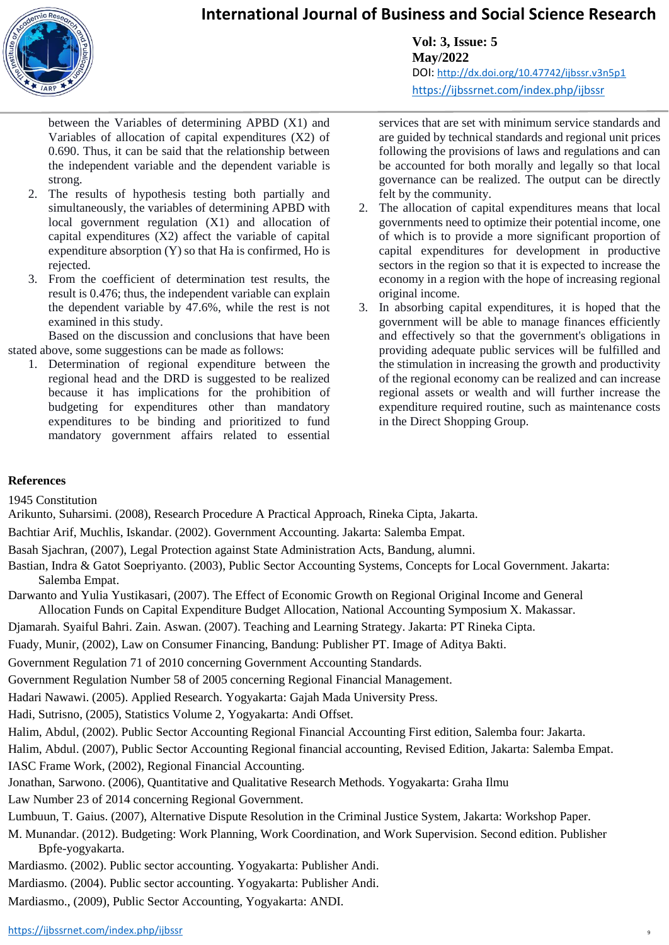

**Vol: 3, Issue: 5 May/2022** DOI: <http://dx.doi.org/10.47742/ijbssr.v3n5p1> <https://ijbssrnet.com/index.php/ijbssr>

between the Variables of determining APBD (X1) and Variables of allocation of capital expenditures (X2) of 0.690. Thus, it can be said that the relationship between the independent variable and the dependent variable is strong.

- 2. The results of hypothesis testing both partially and simultaneously, the variables of determining APBD with local government regulation (X1) and allocation of capital expenditures (X2) affect the variable of capital expenditure absorption (Y) so that Ha is confirmed, Ho is rejected.
- 3. From the coefficient of determination test results, the result is 0.476; thus, the independent variable can explain the dependent variable by 47.6%, while the rest is not examined in this study.

Based on the discussion and conclusions that have been stated above, some suggestions can be made as follows:

1. Determination of regional expenditure between the regional head and the DRD is suggested to be realized because it has implications for the prohibition of budgeting for expenditures other than mandatory expenditures to be binding and prioritized to fund mandatory government affairs related to essential

services that are set with minimum service standards and are guided by technical standards and regional unit prices following the provisions of laws and regulations and can be accounted for both morally and legally so that local governance can be realized. The output can be directly felt by the community.

- 2. The allocation of capital expenditures means that local governments need to optimize their potential income, one of which is to provide a more significant proportion of capital expenditures for development in productive sectors in the region so that it is expected to increase the economy in a region with the hope of increasing regional original income.
- 3. In absorbing capital expenditures, it is hoped that the government will be able to manage finances efficiently and effectively so that the government's obligations in providing adequate public services will be fulfilled and the stimulation in increasing the growth and productivity of the regional economy can be realized and can increase regional assets or wealth and will further increase the expenditure required routine, such as maintenance costs in the Direct Shopping Group.

9

#### **References**

1945 Constitution

Arikunto, Suharsimi. (2008), Research Procedure A Practical Approach, Rineka Cipta, Jakarta.

- Bachtiar Arif, Muchlis, Iskandar. (2002). Government Accounting. Jakarta: Salemba Empat.
- Basah Sjachran, (2007), Legal Protection against State Administration Acts, Bandung, alumni.
- Bastian, Indra & Gatot Soepriyanto. (2003), Public Sector Accounting Systems, Concepts for Local Government. Jakarta: Salemba Empat.
- Darwanto and Yulia Yustikasari, (2007). The Effect of Economic Growth on Regional Original Income and General Allocation Funds on Capital Expenditure Budget Allocation, National Accounting Symposium X. Makassar.

Djamarah. Syaiful Bahri. Zain. Aswan. (2007). Teaching and Learning Strategy. Jakarta: PT Rineka Cipta.

- Fuady, Munir, (2002), Law on Consumer Financing, Bandung: Publisher PT. Image of Aditya Bakti.
- Government Regulation 71 of 2010 concerning Government Accounting Standards.
- Government Regulation Number 58 of 2005 concerning Regional Financial Management.
- Hadari Nawawi. (2005). Applied Research. Yogyakarta: Gajah Mada University Press.

Hadi, Sutrisno, (2005), Statistics Volume 2, Yogyakarta: Andi Offset.

Halim, Abdul, (2002). Public Sector Accounting Regional Financial Accounting First edition, Salemba four: Jakarta.

Halim, Abdul. (2007), Public Sector Accounting Regional financial accounting, Revised Edition, Jakarta: Salemba Empat. IASC Frame Work, (2002), Regional Financial Accounting.

Jonathan, Sarwono. (2006), Quantitative and Qualitative Research Methods. Yogyakarta: Graha Ilmu

Law Number 23 of 2014 concerning Regional Government.

Lumbuun, T. Gaius. (2007), Alternative Dispute Resolution in the Criminal Justice System, Jakarta: Workshop Paper.

- M. Munandar. (2012). Budgeting: Work Planning, Work Coordination, and Work Supervision. Second edition. Publisher Bpfe-yogyakarta.
- Mardiasmo. (2002). Public sector accounting. Yogyakarta: Publisher Andi.
- Mardiasmo. (2004). Public sector accounting. Yogyakarta: Publisher Andi.
- Mardiasmo., (2009), Public Sector Accounting, Yogyakarta: ANDI.